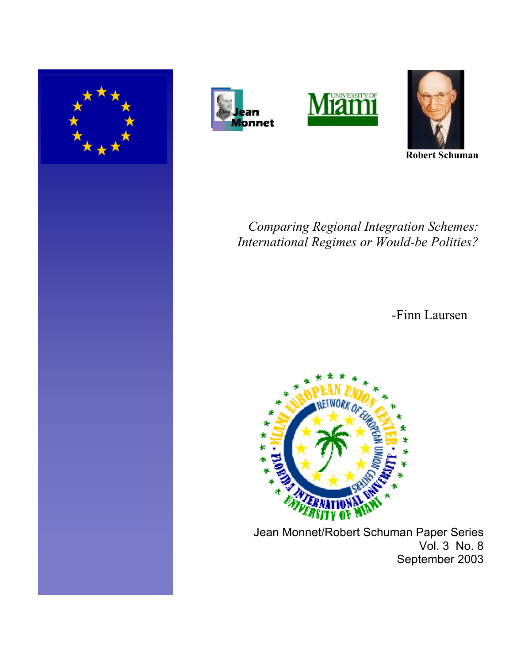







**Robert Schuman**

*Comparing Regional Integration Schemes: International Regimes or Would-be Polities?*

-Finn Laursen



Jean Monnet/Robert Schuman Paper Series Vol. 3 No. 8 September 2003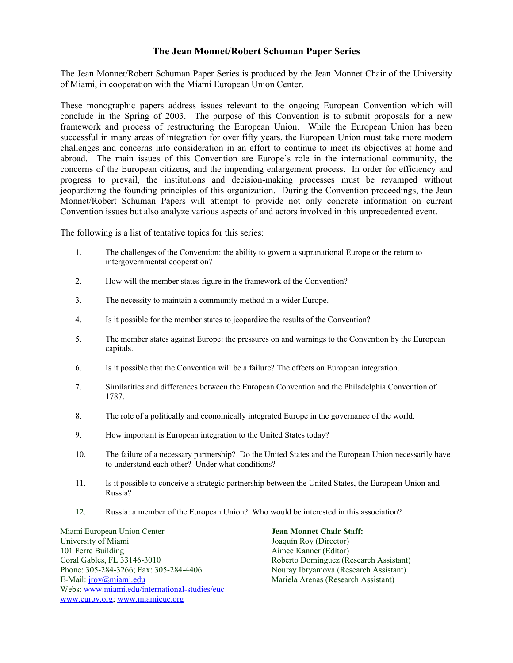# **The Jean Monnet/Robert Schuman Paper Series**

The Jean Monnet/Robert Schuman Paper Series is produced by the Jean Monnet Chair of the University of Miami, in cooperation with the Miami European Union Center.

These monographic papers address issues relevant to the ongoing European Convention which will conclude in the Spring of 2003. The purpose of this Convention is to submit proposals for a new framework and process of restructuring the European Union. While the European Union has been successful in many areas of integration for over fifty years, the European Union must take more modern challenges and concerns into consideration in an effort to continue to meet its objectives at home and abroad. The main issues of this Convention are Europe's role in the international community, the concerns of the European citizens, and the impending enlargement process. In order for efficiency and progress to prevail, the institutions and decision-making processes must be revamped without jeopardizing the founding principles of this organization. During the Convention proceedings, the Jean Monnet/Robert Schuman Papers will attempt to provide not only concrete information on current Convention issues but also analyze various aspects of and actors involved in this unprecedented event.

The following is a list of tentative topics for this series:

- 1. The challenges of the Convention: the ability to govern a supranational Europe or the return to intergovernmental cooperation?
- 2. How will the member states figure in the framework of the Convention?
- 3. The necessity to maintain a community method in a wider Europe.
- 4. Is it possible for the member states to jeopardize the results of the Convention?
- 5. The member states against Europe: the pressures on and warnings to the Convention by the European capitals.
- 6. Is it possible that the Convention will be a failure? The effects on European integration.
- 7. Similarities and differences between the European Convention and the Philadelphia Convention of 1787.
- 8. The role of a politically and economically integrated Europe in the governance of the world.
- 9. How important is European integration to the United States today?
- 10. The failure of a necessary partnership? Do the United States and the European Union necessarily have to understand each other? Under what conditions?
- 11. Is it possible to conceive a strategic partnership between the United States, the European Union and Russia?
- 12. Russia: a member of the European Union? Who would be interested in this association?

Miami European Union Center **Jean Monnet Chair Staff:**  University of Miami Joaquín Roy (Director) 101 Ferre Building **Aimee Kanner (Editor)** Aimee Kanner (Editor) Coral Gables, FL 33146-3010 Roberto Domínguez (Research Assistant) Phone: 305-284-3266; Fax: 305-284-4406 Nouray Ibryamova (Research Assistant) E-Mail: jroy@miami.edu Mariela Arenas (Research Assistant) Webs: www.miami.edu/international-studies/euc www.euroy.org; www.miamieuc.org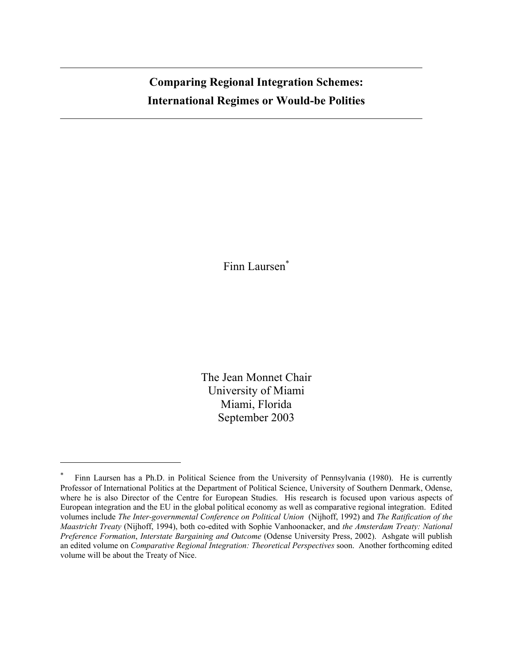# **Comparing Regional Integration Schemes: International Regimes or Would-be Polities**

Finn Laursen<sup>∗</sup>

The Jean Monnet Chair University of Miami Miami, Florida September 2003

<sup>∗</sup> Finn Laursen has a Ph.D. in Political Science from the University of Pennsylvania (1980). He is currently Professor of International Politics at the Department of Political Science, University of Southern Denmark, Odense, where he is also Director of the Centre for European Studies. His research is focused upon various aspects of European integration and the EU in the global political economy as well as comparative regional integration. Edited volumes include *The Inter-governmental Conference on Political Union* (Nijhoff, 1992) and *The Ratification of the Maastricht Treaty* (Nijhoff, 1994), both co-edited with Sophie Vanhoonacker, and *the Amsterdam Treaty: National Preference Formation*, *Interstate Bargaining and Outcome* (Odense University Press, 2002). Ashgate will publish an edited volume on *Comparative Regional Integration: Theoretical Perspectives* soon. Another forthcoming edited volume will be about the Treaty of Nice.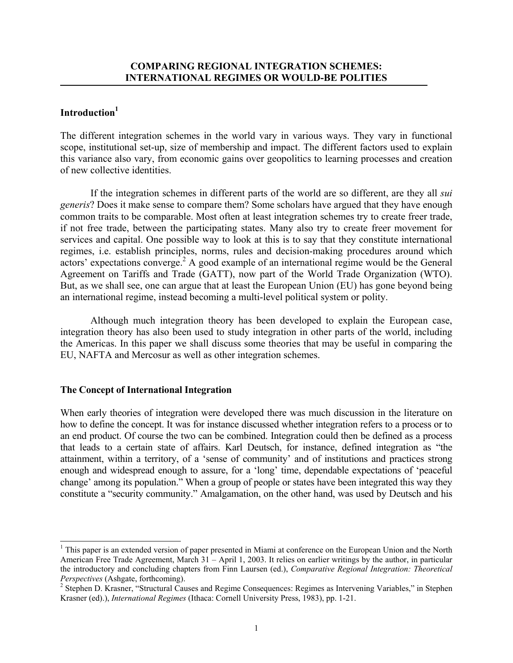# **Introduction1**

l

The different integration schemes in the world vary in various ways. They vary in functional scope, institutional set-up, size of membership and impact. The different factors used to explain this variance also vary, from economic gains over geopolitics to learning processes and creation of new collective identities.

If the integration schemes in different parts of the world are so different, are they all *sui generis*? Does it make sense to compare them? Some scholars have argued that they have enough common traits to be comparable. Most often at least integration schemes try to create freer trade, if not free trade, between the participating states. Many also try to create freer movement for services and capital. One possible way to look at this is to say that they constitute international regimes, i.e. establish principles, norms, rules and decision-making procedures around which  $\arccos$ ' expectations converge.<sup>2</sup> A good example of an international regime would be the General Agreement on Tariffs and Trade (GATT), now part of the World Trade Organization (WTO). But, as we shall see, one can argue that at least the European Union (EU) has gone beyond being an international regime, instead becoming a multi-level political system or polity.

Although much integration theory has been developed to explain the European case, integration theory has also been used to study integration in other parts of the world, including the Americas. In this paper we shall discuss some theories that may be useful in comparing the EU, NAFTA and Mercosur as well as other integration schemes.

# **The Concept of International Integration**

When early theories of integration were developed there was much discussion in the literature on how to define the concept. It was for instance discussed whether integration refers to a process or to an end product. Of course the two can be combined. Integration could then be defined as a process that leads to a certain state of affairs. Karl Deutsch, for instance, defined integration as "the attainment, within a territory, of a 'sense of community' and of institutions and practices strong enough and widespread enough to assure, for a 'long' time, dependable expectations of 'peaceful change' among its population." When a group of people or states have been integrated this way they constitute a "security community." Amalgamation, on the other hand, was used by Deutsch and his

<sup>&</sup>lt;sup>1</sup> This paper is an extended version of paper presented in Miami at conference on the European Union and the North American Free Trade Agreement, March 31 – April 1, 2003. It relies on earlier writings by the author, in particular the introductory and concluding chapters from Finn Laursen (ed.), *Comparative Regional Integration: Theoretical Perspectives* (Ashgate, forthcoming).<br><sup>2</sup> Stephen D. Krasner, "Structural Causes and Regime Consequences: Regimes as Intervening Variables," in Stephen

Krasner (ed).), *International Regimes* (Ithaca: Cornell University Press, 1983), pp. 1-21.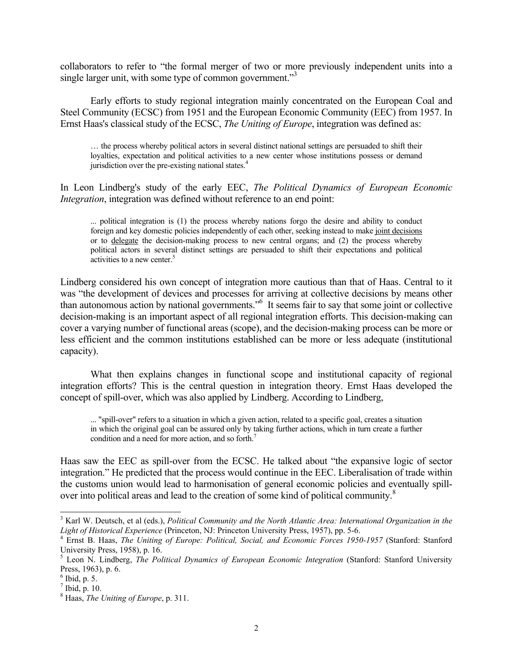collaborators to refer to "the formal merger of two or more previously independent units into a single larger unit, with some type of common government."<sup>3</sup>

 Early efforts to study regional integration mainly concentrated on the European Coal and Steel Community (ECSC) from 1951 and the European Economic Community (EEC) from 1957. In Ernst Haas's classical study of the ECSC, *The Uniting of Europe*, integration was defined as:

 … the process whereby political actors in several distinct national settings are persuaded to shift their loyalties, expectation and political activities to a new center whose institutions possess or demand jurisdiction over the pre-existing national states.<sup>4</sup>

In Leon Lindberg's study of the early EEC, *The Political Dynamics of European Economic Integration*, integration was defined without reference to an end point:

... political integration is (1) the process whereby nations forgo the desire and ability to conduct foreign and key domestic policies independently of each other, seeking instead to make joint decisions or to delegate the decision-making process to new central organs; and (2) the process whereby political actors in several distinct settings are persuaded to shift their expectations and political activities to a new center.<sup>5</sup>

Lindberg considered his own concept of integration more cautious than that of Haas. Central to it was "the development of devices and processes for arriving at collective decisions by means other than autonomous action by national governments."6 It seems fair to say that some joint or collective decision-making is an important aspect of all regional integration efforts. This decision-making can cover a varying number of functional areas (scope), and the decision-making process can be more or less efficient and the common institutions established can be more or less adequate (institutional capacity).

 What then explains changes in functional scope and institutional capacity of regional integration efforts? This is the central question in integration theory. Ernst Haas developed the concept of spill-over, which was also applied by Lindberg. According to Lindberg,

... "spill-over" refers to a situation in which a given action, related to a specific goal, creates a situation in which the original goal can be assured only by taking further actions, which in turn create a further condition and a need for more action, and so forth.<sup>7</sup>

Haas saw the EEC as spill-over from the ECSC. He talked about "the expansive logic of sector integration." He predicted that the process would continue in the EEC. Liberalisation of trade within the customs union would lead to harmonisation of general economic policies and eventually spillover into political areas and lead to the creation of some kind of political community.<sup>8</sup>

l

<sup>&</sup>lt;sup>3</sup> Karl W. Deutsch, et al (eds.), *Political Community and the North Atlantic Area: International Organization in the Light of Historical Experience* (Princeton, NJ: Princeton University Press, 1957), pp. 5-6. 4

Ernst B. Haas, *The Uniting of Europe: Political, Social, and Economic Forces 1950-1957* (Stanford: Stanford University Press, 1958), p. 16.

<sup>5</sup> Leon N. Lindberg, *The Political Dynamics of European Economic Integration* (Stanford: Stanford University Press, 1963), p. 6.

 $<sup>6</sup>$  Ibid, p. 5.</sup>

 $<sup>7</sup>$  Ibid, p. 10.</sup>

<sup>8</sup> Haas, *The Uniting of Europe*, p. 311.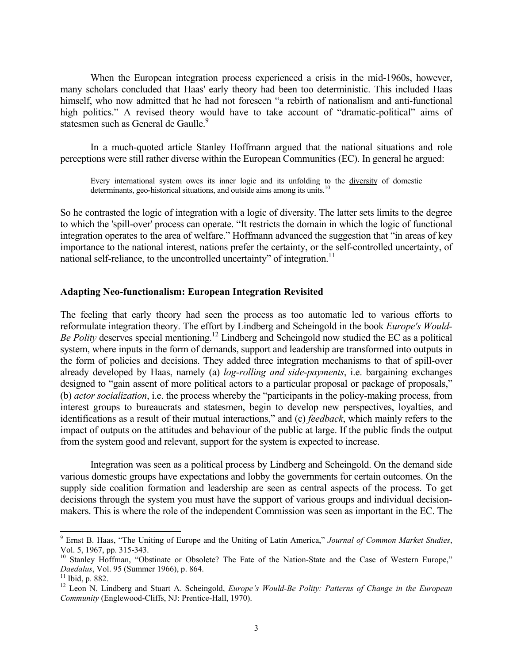When the European integration process experienced a crisis in the mid-1960s, however, many scholars concluded that Haas' early theory had been too deterministic. This included Haas himself, who now admitted that he had not foreseen "a rebirth of nationalism and anti-functional high politics." A revised theory would have to take account of "dramatic-political" aims of statesmen such as General de Gaulle.<sup>9</sup>

 In a much-quoted article Stanley Hoffmann argued that the national situations and role perceptions were still rather diverse within the European Communities (EC). In general he argued:

Every international system owes its inner logic and its unfolding to the diversity of domestic determinants, geo-historical situations, and outside aims among its units.<sup>10</sup>

So he contrasted the logic of integration with a logic of diversity. The latter sets limits to the degree to which the 'spill-over' process can operate. "It restricts the domain in which the logic of functional integration operates to the area of welfare." Hoffmann advanced the suggestion that "in areas of key importance to the national interest, nations prefer the certainty, or the self-controlled uncertainty, of national self-reliance, to the uncontrolled uncertainty" of integration.<sup>11</sup>

## **Adapting Neo-functionalism: European Integration Revisited**

The feeling that early theory had seen the process as too automatic led to various efforts to reformulate integration theory. The effort by Lindberg and Scheingold in the book *Europe's Would-Be Polity* deserves special mentioning.<sup>12</sup> Lindberg and Scheingold now studied the EC as a political system, where inputs in the form of demands, support and leadership are transformed into outputs in the form of policies and decisions. They added three integration mechanisms to that of spill-over already developed by Haas, namely (a) *log-rolling and side-payments*, i.e. bargaining exchanges designed to "gain assent of more political actors to a particular proposal or package of proposals," (b) *actor socialization*, i.e. the process whereby the "participants in the policy-making process, from interest groups to bureaucrats and statesmen, begin to develop new perspectives, loyalties, and identifications as a result of their mutual interactions," and (c) *feedback*, which mainly refers to the impact of outputs on the attitudes and behaviour of the public at large. If the public finds the output from the system good and relevant, support for the system is expected to increase.

 Integration was seen as a political process by Lindberg and Scheingold. On the demand side various domestic groups have expectations and lobby the governments for certain outcomes. On the supply side coalition formation and leadership are seen as central aspects of the process. To get decisions through the system you must have the support of various groups and individual decisionmakers. This is where the role of the independent Commission was seen as important in the EC. The

<sup>9</sup> Ernst B. Haas, "The Uniting of Europe and the Uniting of Latin America," *Journal of Common Market Studies*, Vol. 5, 1967, pp. 315-343.

<sup>&</sup>lt;sup>10</sup> Stanley Hoffman, "Obstinate or Obsolete? The Fate of the Nation-State and the Case of Western Europe," *Daedalus*, Vol. 95 (Summer 1966), p. 864. 11 Ibid, p. 882.

<sup>&</sup>lt;sup>12</sup> Leon N. Lindberg and Stuart A. Scheingold, *Europe's Would-Be Polity: Patterns of Change in the European Community* (Englewood-Cliffs, NJ: Prentice-Hall, 1970).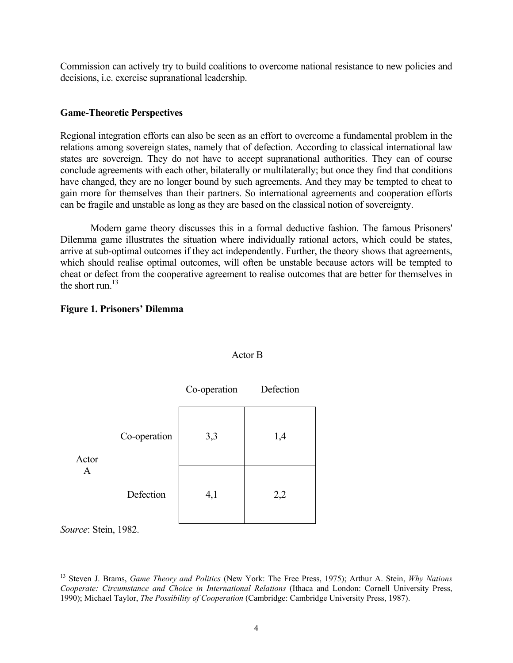Commission can actively try to build coalitions to overcome national resistance to new policies and decisions, i.e. exercise supranational leadership.

## **Game-Theoretic Perspectives**

Regional integration efforts can also be seen as an effort to overcome a fundamental problem in the relations among sovereign states, namely that of defection. According to classical international law states are sovereign. They do not have to accept supranational authorities. They can of course conclude agreements with each other, bilaterally or multilaterally; but once they find that conditions have changed, they are no longer bound by such agreements. And they may be tempted to cheat to gain more for themselves than their partners. So international agreements and cooperation efforts can be fragile and unstable as long as they are based on the classical notion of sovereignty.

 Modern game theory discusses this in a formal deductive fashion. The famous Prisoners' Dilemma game illustrates the situation where individually rational actors, which could be states, arrive at sub-optimal outcomes if they act independently. Further, the theory shows that agreements, which should realise optimal outcomes, will often be unstable because actors will be tempted to cheat or defect from the cooperative agreement to realise outcomes that are better for themselves in the short run  $^{13}$ 

## **Figure 1. Prisoners' Dilemma**



# Actor B

*Source*: Stein, 1982.

l

<sup>13</sup> Steven J. Brams, *Game Theory and Politics* (New York: The Free Press, 1975); Arthur A. Stein, *Why Nations Cooperate: Circumstance and Choice in International Relations* (Ithaca and London: Cornell University Press, 1990); Michael Taylor, *The Possibility of Cooperation* (Cambridge: Cambridge University Press, 1987).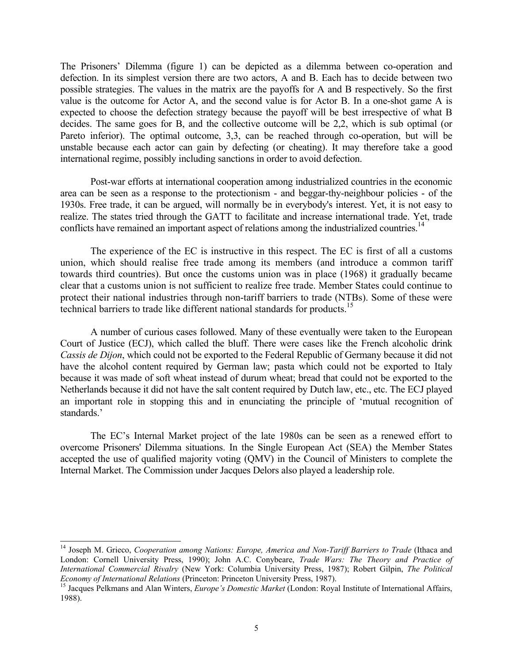The Prisoners' Dilemma (figure 1) can be depicted as a dilemma between co-operation and defection. In its simplest version there are two actors, A and B. Each has to decide between two possible strategies. The values in the matrix are the payoffs for A and B respectively. So the first value is the outcome for Actor A, and the second value is for Actor B. In a one-shot game A is expected to choose the defection strategy because the payoff will be best irrespective of what B decides. The same goes for B, and the collective outcome will be 2,2, which is sub optimal (or Pareto inferior). The optimal outcome, 3,3, can be reached through co-operation, but will be unstable because each actor can gain by defecting (or cheating). It may therefore take a good international regime, possibly including sanctions in order to avoid defection.

 Post-war efforts at international cooperation among industrialized countries in the economic area can be seen as a response to the protectionism - and beggar-thy-neighbour policies - of the 1930s. Free trade, it can be argued, will normally be in everybody's interest. Yet, it is not easy to realize. The states tried through the GATT to facilitate and increase international trade. Yet, trade conflicts have remained an important aspect of relations among the industrialized countries.<sup>14</sup>

The experience of the EC is instructive in this respect. The EC is first of all a customs union, which should realise free trade among its members (and introduce a common tariff towards third countries). But once the customs union was in place (1968) it gradually became clear that a customs union is not sufficient to realize free trade. Member States could continue to protect their national industries through non-tariff barriers to trade (NTBs). Some of these were technical barriers to trade like different national standards for products.<sup>15</sup>

 A number of curious cases followed. Many of these eventually were taken to the European Court of Justice (ECJ), which called the bluff. There were cases like the French alcoholic drink *Cassis de Dijon*, which could not be exported to the Federal Republic of Germany because it did not have the alcohol content required by German law; pasta which could not be exported to Italy because it was made of soft wheat instead of durum wheat; bread that could not be exported to the Netherlands because it did not have the salt content required by Dutch law, etc., etc. The ECJ played an important role in stopping this and in enunciating the principle of 'mutual recognition of standards.'

 The EC's Internal Market project of the late 1980s can be seen as a renewed effort to overcome Prisoners' Dilemma situations. In the Single European Act (SEA) the Member States accepted the use of qualified majority voting (QMV) in the Council of Ministers to complete the Internal Market. The Commission under Jacques Delors also played a leadership role.

l

<sup>&</sup>lt;sup>14</sup> Joseph M. Grieco, *Cooperation among Nations: Europe, America and Non-Tariff Barriers to Trade* (Ithaca and London: Cornell University Press, 1990); John A.C. Conybeare, *Trade Wars: The Theory and Practice of International Commercial Rivalry* (New York: Columbia University Press, 1987); Robert Gilpin, *The Political Economy of International Relations* (Princeton: Princeton University Press, 1987).<br><sup>15</sup> Jacques Pelkmans and Alan Winters, *Europe's Domestic Market* (London: Royal Institute of International Affairs,

<sup>1988).</sup>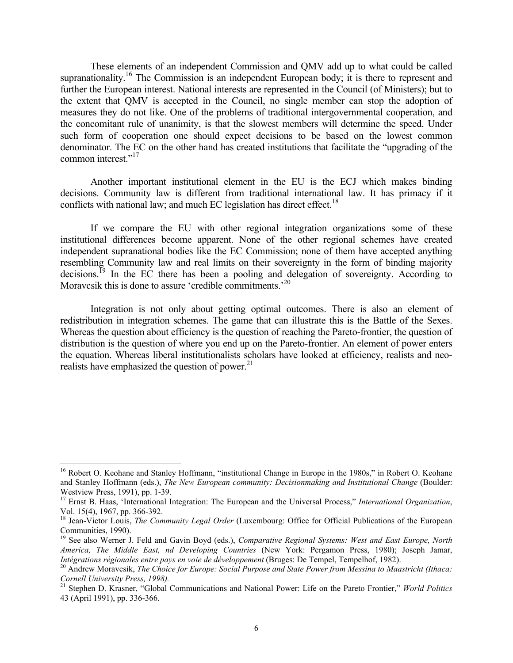These elements of an independent Commission and QMV add up to what could be called supranationality.<sup>16</sup> The Commission is an independent European body; it is there to represent and further the European interest. National interests are represented in the Council (of Ministers); but to the extent that QMV is accepted in the Council, no single member can stop the adoption of measures they do not like. One of the problems of traditional intergovernmental cooperation, and the concomitant rule of unanimity, is that the slowest members will determine the speed. Under such form of cooperation one should expect decisions to be based on the lowest common denominator. The EC on the other hand has created institutions that facilitate the "upgrading of the common interest."<sup>17</sup>

 Another important institutional element in the EU is the ECJ which makes binding decisions. Community law is different from traditional international law. It has primacy if it conflicts with national law; and much EC legislation has direct effect.<sup>18</sup>

 If we compare the EU with other regional integration organizations some of these institutional differences become apparent. None of the other regional schemes have created independent supranational bodies like the EC Commission; none of them have accepted anything resembling Community law and real limits on their sovereignty in the form of binding majority decisions.<sup>19</sup> In the EC there has been a pooling and delegation of sovereignty. According to Moravcsik this is done to assure 'credible commitments.'<sup>20</sup>

 Integration is not only about getting optimal outcomes. There is also an element of redistribution in integration schemes. The game that can illustrate this is the Battle of the Sexes. Whereas the question about efficiency is the question of reaching the Pareto-frontier, the question of distribution is the question of where you end up on the Pareto-frontier. An element of power enters the equation. Whereas liberal institutionalists scholars have looked at efficiency, realists and neorealists have emphasized the question of power.<sup>21</sup>

<sup>&</sup>lt;sup>16</sup> Robert O. Keohane and Stanley Hoffmann, "institutional Change in Europe in the 1980s," in Robert O. Keohane and Stanley Hoffmann (eds.), *The New European community: Decisionmaking and Institutional Change* (Boulder: Westview Press, 1991), pp. 1-39.

<sup>17</sup> Ernst B. Haas, 'International Integration: The European and the Universal Process," *International Organization*, Vol. 15(4), 1967, pp. 366-392.

<sup>&</sup>lt;sup>18</sup> Jean-Victor Louis, *The Community Legal Order* (Luxembourg: Office for Official Publications of the European Communities, 1990).

<sup>19</sup> See also Werner J. Feld and Gavin Boyd (eds.), *Comparative Regional Systems: West and East Europe, North America, The Middle East, nd Developing Countries* (New York: Pergamon Press, 1980); Joseph Jamar, *Intégrations régionales entre pays en voie de développement* (Bruges: De Tempel, Tempelhof, 1982). 20 Andrew Moravcsik, *The Choice for Europe: Social Purpose and State Power from Messina to Maastricht (Ithaca:* 

*Cornell University Press, 1998).* 

<sup>21</sup> Stephen D. Krasner, "Global Communications and National Power: Life on the Pareto Frontier," *World Politics* 43 (April 1991), pp. 336-366.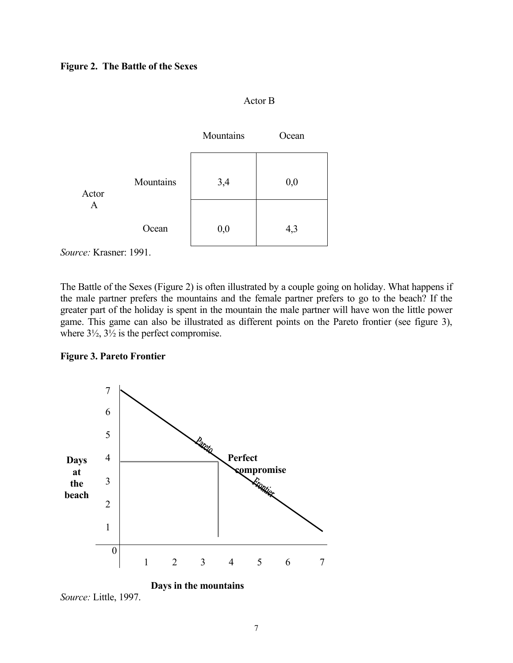## **Figure 2. The Battle of the Sexes**

#### Actor B



*Source:* Krasner: 1991.

The Battle of the Sexes (Figure 2) is often illustrated by a couple going on holiday. What happens if the male partner prefers the mountains and the female partner prefers to go to the beach? If the greater part of the holiday is spent in the mountain the male partner will have won the little power game. This game can also be illustrated as different points on the Pareto frontier (see figure 3), where  $3\frac{1}{2}$ ,  $3\frac{1}{2}$  is the perfect compromise.

**Figure 3. Pareto Frontier** 



**Days in the mountains**  *Source:* Little, 1997.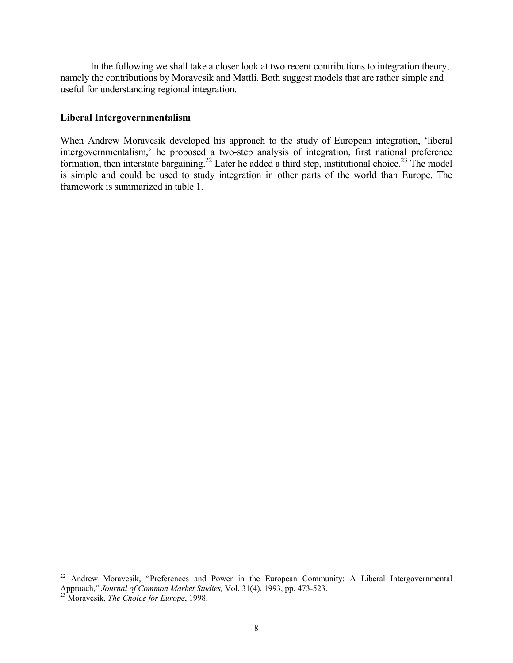In the following we shall take a closer look at two recent contributions to integration theory, namely the contributions by Moravcsik and Mattli. Both suggest models that are rather simple and useful for understanding regional integration.

#### **Liberal Intergovernmentalism**

When Andrew Moravcsik developed his approach to the study of European integration, 'liberal intergovernmentalism,' he proposed a two-step analysis of integration, first national preference formation, then interstate bargaining.<sup>22</sup> Later he added a third step, institutional choice.<sup>23</sup> The model is simple and could be used to study integration in other parts of the world than Europe. The framework is summarized in table 1.

l

 $22$  Andrew Moravcsik, "Preferences and Power in the European Community: A Liberal Intergovernmental Approach," *Journal of Common Market Studies,* Vol. 31(4), 1993, pp. 473-523. 23 Moravcsik, *The Choice for Europe*, 1998.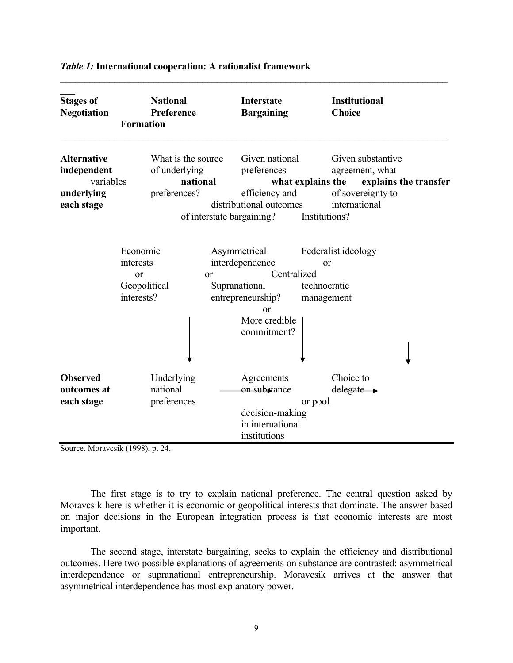| <b>Stages of</b><br><b>Negotiation</b>                                     | <b>National</b><br>Preference<br><b>Formation</b>                                             |               | <b>Interstate</b><br><b>Bargaining</b>                                                                                           |                                             | <b>Institutional</b><br><b>Choice</b>                                                               |  |
|----------------------------------------------------------------------------|-----------------------------------------------------------------------------------------------|---------------|----------------------------------------------------------------------------------------------------------------------------------|---------------------------------------------|-----------------------------------------------------------------------------------------------------|--|
| <b>Alternative</b><br>independent<br>variables<br>underlying<br>each stage | What is the source.<br>of underlying<br>national<br>preferences?<br>of interstate bargaining? |               | Given national<br>preferences<br>what explains the<br>efficiency and<br>distributional outcomes<br>Institutions?                 |                                             | Given substantive<br>agreement, what<br>explains the transfer<br>of sovereignty to<br>international |  |
|                                                                            | Economic<br>interests<br><sub>or</sub><br>Geopolitical<br>interests?                          | <sub>or</sub> | Asymmetrical<br>interdependence<br>Centralized<br>Supranational<br>entrepreneurship?<br>$\alpha$<br>More credible<br>commitment? | <sub>or</sub><br>technocratic<br>management | Federalist ideology                                                                                 |  |
| <b>Observed</b><br>outcomes at<br>each stage                               | Underlying<br>national<br>preferences                                                         |               | Agreements<br>on substance<br>decision-making<br>in international<br>institutions                                                | or pool                                     | Choice to<br>$delegate \rightarrow$                                                                 |  |

 $\mathcal{L}_\mathcal{L} = \{ \mathcal{L}_\mathcal{L} = \{ \mathcal{L}_\mathcal{L} = \{ \mathcal{L}_\mathcal{L} = \{ \mathcal{L}_\mathcal{L} = \{ \mathcal{L}_\mathcal{L} = \{ \mathcal{L}_\mathcal{L} = \{ \mathcal{L}_\mathcal{L} = \{ \mathcal{L}_\mathcal{L} = \{ \mathcal{L}_\mathcal{L} = \{ \mathcal{L}_\mathcal{L} = \{ \mathcal{L}_\mathcal{L} = \{ \mathcal{L}_\mathcal{L} = \{ \mathcal{L}_\mathcal{L} = \{ \mathcal{L}_\mathcal{$ 

#### *Table 1:* **International cooperation: A rationalist framework**

Source. Moravcsik (1998), p. 24.

 The first stage is to try to explain national preference. The central question asked by Moravcsik here is whether it is economic or geopolitical interests that dominate. The answer based on major decisions in the European integration process is that economic interests are most important.

 The second stage, interstate bargaining, seeks to explain the efficiency and distributional outcomes. Here two possible explanations of agreements on substance are contrasted: asymmetrical interdependence or supranational entrepreneurship. Moravcsik arrives at the answer that asymmetrical interdependence has most explanatory power.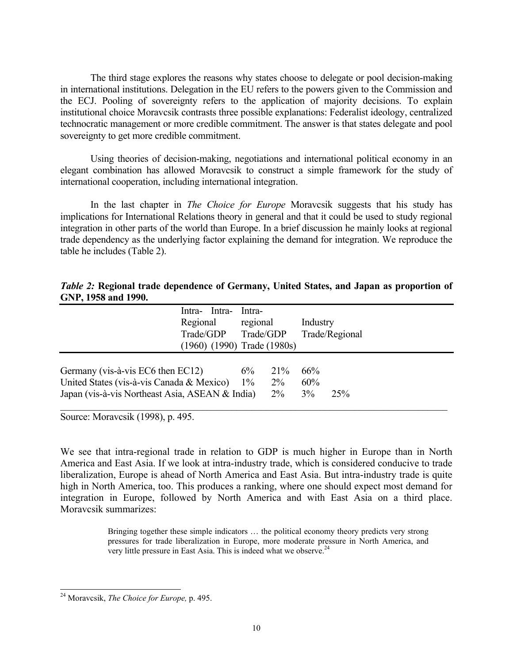The third stage explores the reasons why states choose to delegate or pool decision-making in international institutions. Delegation in the EU refers to the powers given to the Commission and the ECJ. Pooling of sovereignty refers to the application of majority decisions. To explain institutional choice Moravcsik contrasts three possible explanations: Federalist ideology, centralized technocratic management or more credible commitment. The answer is that states delegate and pool sovereignty to get more credible commitment.

 Using theories of decision-making, negotiations and international political economy in an elegant combination has allowed Moravcsik to construct a simple framework for the study of international cooperation, including international integration.

 In the last chapter in *The Choice for Europe* Moravcsik suggests that his study has implications for International Relations theory in general and that it could be used to study regional integration in other parts of the world than Europe. In a brief discussion he mainly looks at regional trade dependency as the underlying factor explaining the demand for integration. We reproduce the table he includes (Table 2).

| <i>Table 2:</i> Regional trade dependence of Germany, United States, and Japan as proportion of |  |  |
|-------------------------------------------------------------------------------------------------|--|--|
| GNP, 1958 and 1990.                                                                             |  |  |

| Intra- Intra-<br>Regional<br>Trade/GDP                                                                                            | Intra-<br>regional<br>Trade/GDP<br>$(1960)$ $(1990)$ Trade $(1980s)$ | Industry<br>Trade/Regional |
|-----------------------------------------------------------------------------------------------------------------------------------|----------------------------------------------------------------------|----------------------------|
| Germany (vis-à-vis EC6 then EC12)<br>United States (vis-à-vis Canada & Mexico)<br>Japan (vis-à-vis Northeast Asia, ASEAN & India) | 21%<br>6%<br>$1\%$<br>$2\%$<br>$2\%$                                 | 66%<br>60%<br>$3\%$<br>25% |

Source: Moravcsik (1998), p. 495.

We see that intra-regional trade in relation to GDP is much higher in Europe than in North America and East Asia. If we look at intra-industry trade, which is considered conducive to trade liberalization, Europe is ahead of North America and East Asia. But intra-industry trade is quite high in North America, too. This produces a ranking, where one should expect most demand for integration in Europe, followed by North America and with East Asia on a third place. Moravcsik summarizes:

> Bringing together these simple indicators … the political economy theory predicts very strong pressures for trade liberalization in Europe, more moderate pressure in North America, and very little pressure in East Asia. This is indeed what we observe.<sup>24</sup>

<sup>-</sup>24 Moravcsik, *The Choice for Europe,* p. 495.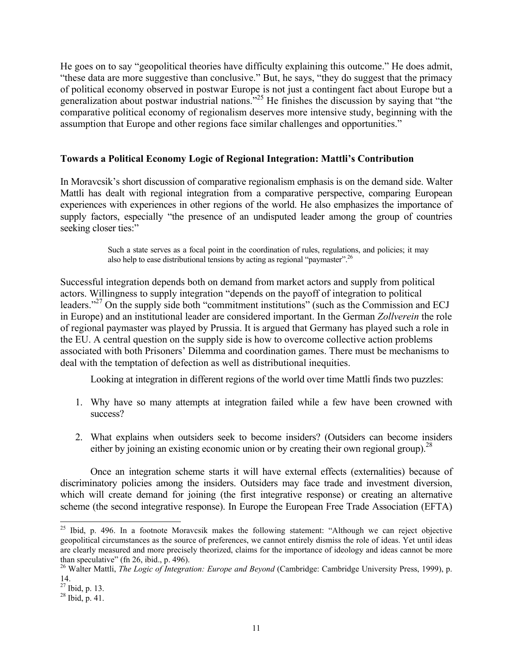He goes on to say "geopolitical theories have difficulty explaining this outcome." He does admit, "these data are more suggestive than conclusive." But, he says, "they do suggest that the primacy of political economy observed in postwar Europe is not just a contingent fact about Europe but a generalization about postwar industrial nations."<sup>25</sup> He finishes the discussion by saying that "the comparative political economy of regionalism deserves more intensive study, beginning with the assumption that Europe and other regions face similar challenges and opportunities."

# **Towards a Political Economy Logic of Regional Integration: Mattli's Contribution**

In Moravcsik's short discussion of comparative regionalism emphasis is on the demand side. Walter Mattli has dealt with regional integration from a comparative perspective, comparing European experiences with experiences in other regions of the world. He also emphasizes the importance of supply factors, especially "the presence of an undisputed leader among the group of countries seeking closer ties:"

> Such a state serves as a focal point in the coordination of rules, regulations, and policies; it may also help to ease distributional tensions by acting as regional "paymaster".26

Successful integration depends both on demand from market actors and supply from political actors. Willingness to supply integration "depends on the payoff of integration to political leaders."<sup>27</sup> On the supply side both "commitment institutions" (such as the Commission and ECJ in Europe) and an institutional leader are considered important. In the German *Zollverein* the role of regional paymaster was played by Prussia. It is argued that Germany has played such a role in the EU. A central question on the supply side is how to overcome collective action problems associated with both Prisoners' Dilemma and coordination games. There must be mechanisms to deal with the temptation of defection as well as distributional inequities.

Looking at integration in different regions of the world over time Mattli finds two puzzles:

- 1. Why have so many attempts at integration failed while a few have been crowned with success?
- 2. What explains when outsiders seek to become insiders? (Outsiders can become insiders either by joining an existing economic union or by creating their own regional group).<sup>28</sup>

 Once an integration scheme starts it will have external effects (externalities) because of discriminatory policies among the insiders. Outsiders may face trade and investment diversion, which will create demand for joining (the first integrative response) or creating an alternative scheme (the second integrative response). In Europe the European Free Trade Association (EFTA)

 $25$  Ibid, p. 496. In a footnote Moravcsik makes the following statement: "Although we can reject objective geopolitical circumstances as the source of preferences, we cannot entirely dismiss the role of ideas. Yet until ideas are clearly measured and more precisely theorized, claims for the importance of ideology and ideas cannot be more than speculative" (fn 26, ibid., p. 496).<br><sup>26</sup> Walter Mattli, *The Logic of Integration: Europe and Beyond* (Cambridge: Cambridge University Press, 1999), p.

<sup>14.</sup> 

<sup>27</sup> Ibid, p. 13.

 $28$  Ibid, p. 41.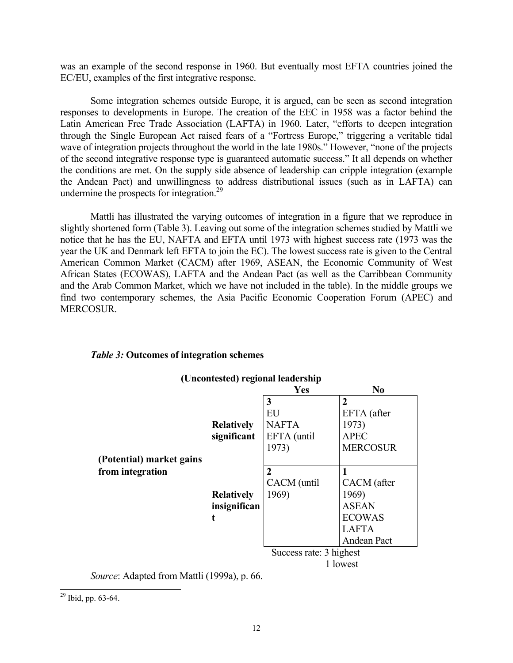was an example of the second response in 1960. But eventually most EFTA countries joined the EC/EU, examples of the first integrative response.

 Some integration schemes outside Europe, it is argued, can be seen as second integration responses to developments in Europe. The creation of the EEC in 1958 was a factor behind the Latin American Free Trade Association (LAFTA) in 1960. Later, "efforts to deepen integration through the Single European Act raised fears of a "Fortress Europe," triggering a veritable tidal wave of integration projects throughout the world in the late 1980s." However, "none of the projects of the second integrative response type is guaranteed automatic success." It all depends on whether the conditions are met. On the supply side absence of leadership can cripple integration (example the Andean Pact) and unwillingness to address distributional issues (such as in LAFTA) can undermine the prospects for integration.<sup>29</sup>

 Mattli has illustrated the varying outcomes of integration in a figure that we reproduce in slightly shortened form (Table 3). Leaving out some of the integration schemes studied by Mattli we notice that he has the EU, NAFTA and EFTA until 1973 with highest success rate (1973 was the year the UK and Denmark left EFTA to join the EC). The lowest success rate is given to the Central American Common Market (CACM) after 1969, ASEAN, the Economic Community of West African States (ECOWAS), LAFTA and the Andean Pact (as well as the Carribbean Community and the Arab Common Market, which we have not included in the table). In the middle groups we find two contemporary schemes, the Asia Pacific Economic Cooperation Forum (APEC) and MERCOSUR.

|                                       |                   | (Cheontestea) regional readership |                 |
|---------------------------------------|-------------------|-----------------------------------|-----------------|
|                                       |                   | Yes                               | N <sub>0</sub>  |
|                                       |                   | 3                                 | $\overline{2}$  |
|                                       |                   | EU                                | EFTA (after     |
|                                       | <b>Relatively</b> | <b>NAFTA</b>                      | 1973)           |
|                                       | significant       | EFTA (until                       | <b>APEC</b>     |
|                                       |                   | 1973)                             | <b>MERCOSUR</b> |
| (Potential) market gains              |                   |                                   |                 |
| from integration                      |                   | $\boldsymbol{2}$                  | 1               |
|                                       |                   | CACM (until                       | CACM (after     |
|                                       | <b>Relatively</b> | 1969)                             | 1969)           |
|                                       | insignifican      |                                   | <b>ASEAN</b>    |
|                                       |                   |                                   | <b>ECOWAS</b>   |
|                                       |                   |                                   | <b>LAFTA</b>    |
|                                       |                   |                                   | Andean Pact     |
|                                       |                   | Success rate: 3 highest           |                 |
|                                       |                   |                                   | 1 lowest        |
| $C = 11 + 1C = M \omega^2 / 1000$ $C$ |                   |                                   |                 |

**(Uncontested) regional leadership** 

#### *Table 3:* **Outcomes of integration schemes**

*Source*: Adapted from Mattli (1999a), p. 66.

 $29$  Ibid, pp. 63-64.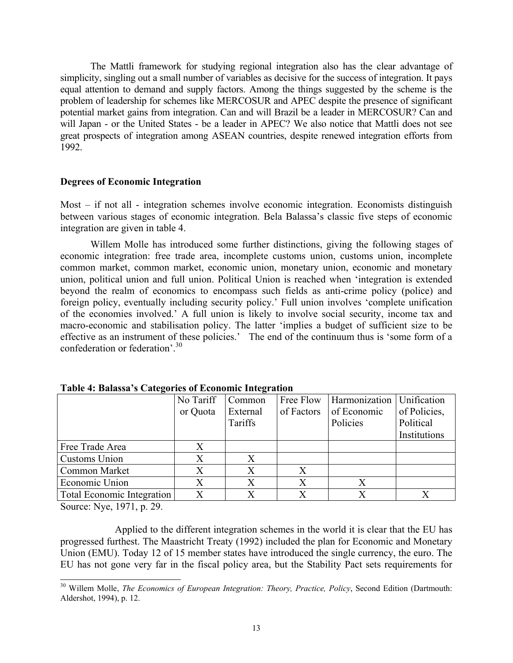The Mattli framework for studying regional integration also has the clear advantage of simplicity, singling out a small number of variables as decisive for the success of integration. It pays equal attention to demand and supply factors. Among the things suggested by the scheme is the problem of leadership for schemes like MERCOSUR and APEC despite the presence of significant potential market gains from integration. Can and will Brazil be a leader in MERCOSUR? Can and will Japan - or the United States - be a leader in APEC? We also notice that Mattli does not see great prospects of integration among ASEAN countries, despite renewed integration efforts from 1992.

## **Degrees of Economic Integration**

Most – if not all - integration schemes involve economic integration. Economists distinguish between various stages of economic integration. Bela Balassa's classic five steps of economic integration are given in table 4.

Willem Molle has introduced some further distinctions, giving the following stages of economic integration: free trade area, incomplete customs union, customs union, incomplete common market, common market, economic union, monetary union, economic and monetary union, political union and full union. Political Union is reached when 'integration is extended beyond the realm of economics to encompass such fields as anti-crime policy (police) and foreign policy, eventually including security policy.' Full union involves 'complete unification of the economies involved.' A full union is likely to involve social security, income tax and macro-economic and stabilisation policy. The latter 'implies a budget of sufficient size to be effective as an instrument of these policies.' The end of the continuum thus is 'some form of a confederation or federation'.<sup>30</sup>

|                                   | No Tariff         | Common   |            | Free Flow   Harmonization   Unification |              |
|-----------------------------------|-------------------|----------|------------|-----------------------------------------|--------------|
|                                   | or Quota          | External | of Factors | of Economic                             | of Policies, |
|                                   |                   | Tariffs  |            | Policies                                | Political    |
|                                   |                   |          |            |                                         | Institutions |
| Free Trade Area                   |                   |          |            |                                         |              |
| <b>Customs Union</b>              | $\rm X$           | Х        |            |                                         |              |
| Common Market                     | $\rm X$           | Х        | X          |                                         |              |
| Economic Union                    | $\rm X$           | Х        | X          |                                         |              |
| <b>Total Economic Integration</b> | $\rm\overline{X}$ | $\rm X$  | X          |                                         |              |

**Table 4: Balassa's Categories of Economic Integration** 

Source: Nye, 1971, p. 29.

 $\overline{a}$ 

Applied to the different integration schemes in the world it is clear that the EU has progressed furthest. The Maastricht Treaty (1992) included the plan for Economic and Monetary Union (EMU). Today 12 of 15 member states have introduced the single currency, the euro. The EU has not gone very far in the fiscal policy area, but the Stability Pact sets requirements for

<sup>&</sup>lt;sup>30</sup> Willem Molle, *The Economics of European Integration: Theory, Practice, Policy*, Second Edition (Dartmouth: Aldershot, 1994), p. 12.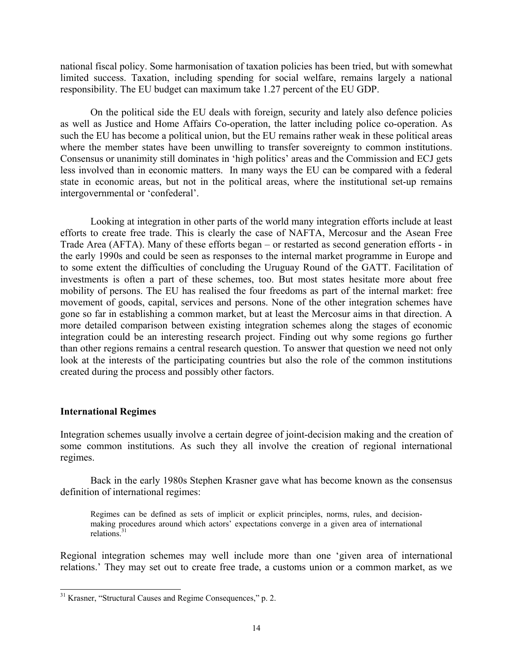national fiscal policy. Some harmonisation of taxation policies has been tried, but with somewhat limited success. Taxation, including spending for social welfare, remains largely a national responsibility. The EU budget can maximum take 1.27 percent of the EU GDP.

On the political side the EU deals with foreign, security and lately also defence policies as well as Justice and Home Affairs Co-operation, the latter including police co-operation. As such the EU has become a political union, but the EU remains rather weak in these political areas where the member states have been unwilling to transfer sovereignty to common institutions. Consensus or unanimity still dominates in 'high politics' areas and the Commission and ECJ gets less involved than in economic matters. In many ways the EU can be compared with a federal state in economic areas, but not in the political areas, where the institutional set-up remains intergovernmental or 'confederal'.

Looking at integration in other parts of the world many integration efforts include at least efforts to create free trade. This is clearly the case of NAFTA, Mercosur and the Asean Free Trade Area (AFTA). Many of these efforts began – or restarted as second generation efforts - in the early 1990s and could be seen as responses to the internal market programme in Europe and to some extent the difficulties of concluding the Uruguay Round of the GATT. Facilitation of investments is often a part of these schemes, too. But most states hesitate more about free mobility of persons. The EU has realised the four freedoms as part of the internal market: free movement of goods, capital, services and persons. None of the other integration schemes have gone so far in establishing a common market, but at least the Mercosur aims in that direction. A more detailed comparison between existing integration schemes along the stages of economic integration could be an interesting research project. Finding out why some regions go further than other regions remains a central research question. To answer that question we need not only look at the interests of the participating countries but also the role of the common institutions created during the process and possibly other factors.

#### **International Regimes**

 $\overline{\phantom{a}}$ 

Integration schemes usually involve a certain degree of joint-decision making and the creation of some common institutions. As such they all involve the creation of regional international regimes.

Back in the early 1980s Stephen Krasner gave what has become known as the consensus definition of international regimes:

Regimes can be defined as sets of implicit or explicit principles, norms, rules, and decisionmaking procedures around which actors' expectations converge in a given area of international relations  $31$ 

Regional integration schemes may well include more than one 'given area of international relations.' They may set out to create free trade, a customs union or a common market, as we

<sup>&</sup>lt;sup>31</sup> Krasner, "Structural Causes and Regime Consequences," p. 2.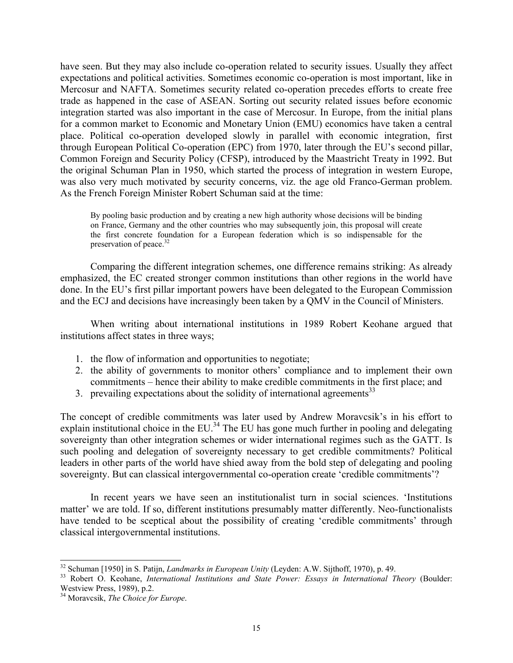have seen. But they may also include co-operation related to security issues. Usually they affect expectations and political activities. Sometimes economic co-operation is most important, like in Mercosur and NAFTA. Sometimes security related co-operation precedes efforts to create free trade as happened in the case of ASEAN. Sorting out security related issues before economic integration started was also important in the case of Mercosur. In Europe, from the initial plans for a common market to Economic and Monetary Union (EMU) economics have taken a central place. Political co-operation developed slowly in parallel with economic integration, first through European Political Co-operation (EPC) from 1970, later through the EU's second pillar, Common Foreign and Security Policy (CFSP), introduced by the Maastricht Treaty in 1992. But the original Schuman Plan in 1950, which started the process of integration in western Europe, was also very much motivated by security concerns, viz. the age old Franco-German problem. As the French Foreign Minister Robert Schuman said at the time:

By pooling basic production and by creating a new high authority whose decisions will be binding on France, Germany and the other countries who may subsequently join, this proposal will create the first concrete foundation for a European federation which is so indispensable for the preservation of peace.<sup>32</sup>

Comparing the different integration schemes, one difference remains striking: As already emphasized, the EC created stronger common institutions than other regions in the world have done. In the EU's first pillar important powers have been delegated to the European Commission and the ECJ and decisions have increasingly been taken by a QMV in the Council of Ministers.

When writing about international institutions in 1989 Robert Keohane argued that institutions affect states in three ways;

- 1. the flow of information and opportunities to negotiate;
- 2. the ability of governments to monitor others' compliance and to implement their own commitments – hence their ability to make credible commitments in the first place; and
- 3. prevailing expectations about the solidity of international agreements<sup>33</sup>

The concept of credible commitments was later used by Andrew Moravcsik's in his effort to explain institutional choice in the EU.<sup>34</sup> The EU has gone much further in pooling and delegating sovereignty than other integration schemes or wider international regimes such as the GATT. Is such pooling and delegation of sovereignty necessary to get credible commitments? Political leaders in other parts of the world have shied away from the bold step of delegating and pooling sovereignty. But can classical intergovernmental co-operation create 'credible commitments'?

In recent years we have seen an institutionalist turn in social sciences. 'Institutions matter' we are told. If so, different institutions presumably matter differently. Neo-functionalists have tended to be sceptical about the possibility of creating 'credible commitments' through classical intergovernmental institutions.

<sup>&</sup>lt;sup>32</sup> Schuman [1950] in S. Patijn, *Landmarks in European Unity* (Leyden: A.W. Sijthoff, 1970), p. 49.

<sup>&</sup>lt;sup>33</sup> Robert O. Keohane, *International Institutions and State Power: Essays in International Theory* (Boulder: Westview Press, 1989), p.2.

<sup>34</sup> Moravcsik, *The Choice for Europe*.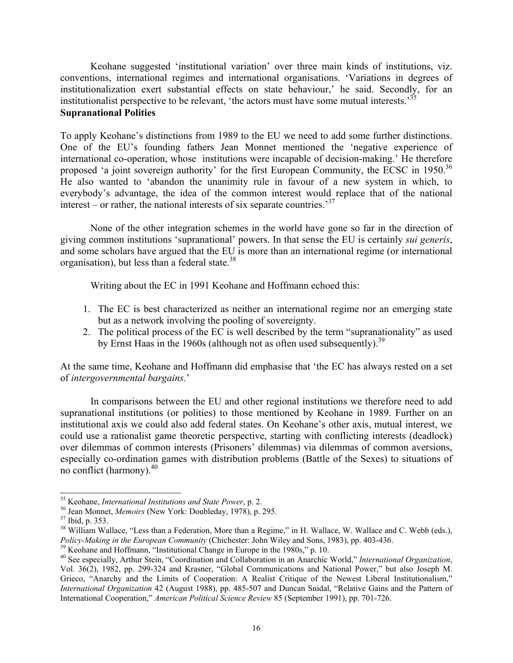Keohane suggested 'institutional variation' over three main kinds of institutions, viz. conventions, international regimes and international organisations. 'Variations in degrees of institutionalization exert substantial effects on state behaviour,' he said. Secondly, for an institutionalist perspective to be relevant, 'the actors must have some mutual interests.'<sup>35</sup> **Supranational Polities** 

To apply Keohane's distinctions from 1989 to the EU we need to add some further distinctions. One of the EU's founding fathers Jean Monnet mentioned the 'negative experience of international co-operation, whose institutions were incapable of decision-making.' He therefore proposed 'a joint sovereign authority' for the first European Community, the ECSC in 1950.<sup>36</sup> He also wanted to 'abandon the unanimity rule in favour of a new system in which, to everybody's advantage, the idea of the common interest would replace that of the national interest – or rather, the national interests of six separate countries.<sup>37</sup>

None of the other integration schemes in the world have gone so far in the direction of giving common institutions 'supranational' powers. In that sense the EU is certainly *sui generis*, and some scholars have argued that the EU is more than an international regime (or international organisation), but less than a federal state.<sup>38</sup>

Writing about the EC in 1991 Keohane and Hoffmann echoed this:

- 1. The EC is best characterized as neither an international regime nor an emerging state but as a network involving the pooling of sovereignty.
- 2. The political process of the EC is well described by the term "supranationality" as used by Ernst Haas in the 1960s (although not as often used subsequently).<sup>39</sup>

At the same time, Keohane and Hoffmann did emphasise that 'the EC has always rested on a set of *intergovernmental bargains.*'

In comparisons between the EU and other regional institutions we therefore need to add supranational institutions (or polities) to those mentioned by Keohane in 1989. Further on an institutional axis we could also add federal states. On Keohane's other axis, mutual interest, we could use a rationalist game theoretic perspective, starting with conflicting interests (deadlock) over dilemmas of common interests (Prisoners' dilemmas) via dilemmas of common aversions, especially co-ordination games with distribution problems (Battle of the Sexes) to situations of no conflict (harmony).<sup>40</sup>

 $\overline{\phantom{a}}$ 

<sup>&</sup>lt;sup>35</sup> Keohane, *International Institutions and State Power*, p. 2.<br><sup>36</sup> Jean Monnet, *Memoirs* (New York: Doubleday, 1978), p. 295.<br><sup>37</sup> Ibid, p. 353.

 $38$  William Wallace, "Less than a Federation, More than a Regime," in H. Wallace, W. Wallace and C. Webb (eds.), *Policy-Making in the European Community* (Chichester: John Wiley and Sons, 1983), pp. 403-436.

<sup>&</sup>lt;sup>39</sup> Keohane and Hoffmann, "Institutional Change in Europe in the 1980s," p. 10.

<sup>40</sup> See especially, Arthur Stein, "Coordination and Collaboration in an Anarchic World," *International Organization*, Vol. 36(2), 1982, pp. 299-324 and Krasner, "Global Communications and National Power," but also Joseph M. Grieco, "Anarchy and the Limits of Cooperation: A Realist Critique of the Newest Liberal Institutionalism," *International Organization* 42 (August 1988), pp. 485-507 and Duncan Snidal, "Relative Gains and the Pattern of International Cooperation," *American Political Science Review* 85 (September 1991), pp. 701-726.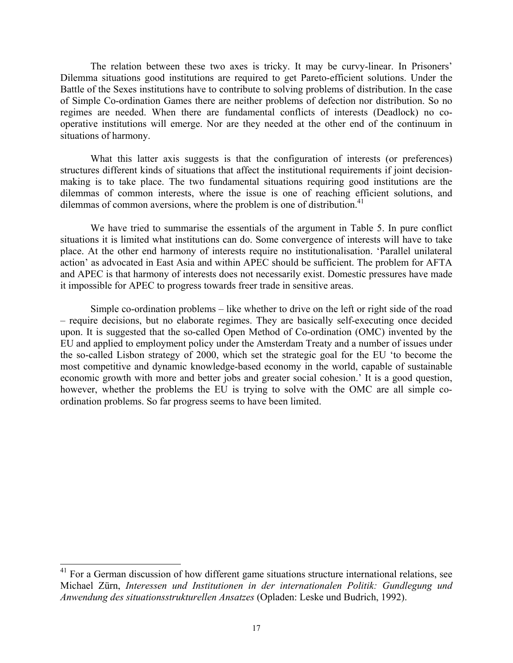The relation between these two axes is tricky. It may be curvy-linear. In Prisoners' Dilemma situations good institutions are required to get Pareto-efficient solutions. Under the Battle of the Sexes institutions have to contribute to solving problems of distribution. In the case of Simple Co-ordination Games there are neither problems of defection nor distribution. So no regimes are needed. When there are fundamental conflicts of interests (Deadlock) no cooperative institutions will emerge. Nor are they needed at the other end of the continuum in situations of harmony.

What this latter axis suggests is that the configuration of interests (or preferences) structures different kinds of situations that affect the institutional requirements if joint decisionmaking is to take place. The two fundamental situations requiring good institutions are the dilemmas of common interests, where the issue is one of reaching efficient solutions, and dilemmas of common aversions, where the problem is one of distribution.<sup>41</sup>

We have tried to summarise the essentials of the argument in Table 5. In pure conflict situations it is limited what institutions can do. Some convergence of interests will have to take place. At the other end harmony of interests require no institutionalisation. 'Parallel unilateral action' as advocated in East Asia and within APEC should be sufficient. The problem for AFTA and APEC is that harmony of interests does not necessarily exist. Domestic pressures have made it impossible for APEC to progress towards freer trade in sensitive areas.

Simple co-ordination problems – like whether to drive on the left or right side of the road – require decisions, but no elaborate regimes. They are basically self-executing once decided upon. It is suggested that the so-called Open Method of Co-ordination (OMC) invented by the EU and applied to employment policy under the Amsterdam Treaty and a number of issues under the so-called Lisbon strategy of 2000, which set the strategic goal for the EU 'to become the most competitive and dynamic knowledge-based economy in the world, capable of sustainable economic growth with more and better jobs and greater social cohesion.' It is a good question, however, whether the problems the EU is trying to solve with the OMC are all simple coordination problems. So far progress seems to have been limited.

 $\overline{\phantom{a}}$ 

 $41$  For a German discussion of how different game situations structure international relations, see Michael Zürn, *Interessen und Institutionen in der internationalen Politik: Gundlegung und Anwendung des situationsstrukturellen Ansatzes* (Opladen: Leske und Budrich, 1992).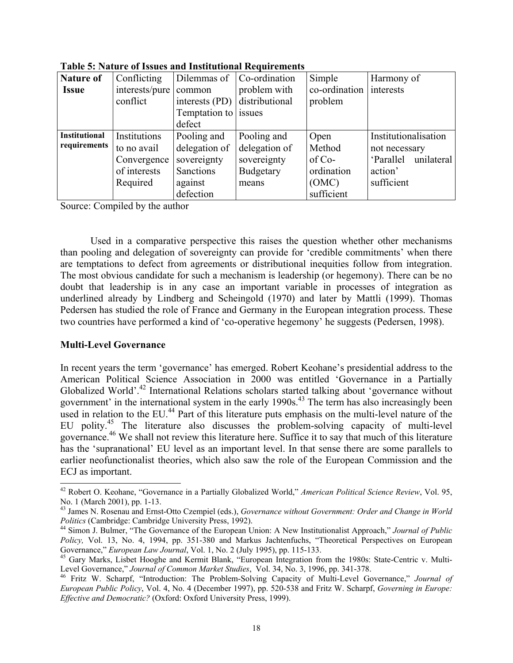| <b>Nature of</b>     | Conflicting           | Dilemmas of          | Co-ordination    | Simple        | Harmony of              |
|----------------------|-----------------------|----------------------|------------------|---------------|-------------------------|
| <b>Issue</b>         | interests/pure common |                      | problem with     | co-ordination | interests               |
|                      | conflict              | interests (PD)       | distributional   | problem       |                         |
|                      |                       | Temptation to issues |                  |               |                         |
|                      |                       | defect               |                  |               |                         |
| <b>Institutional</b> | Institutions          | Pooling and          | Pooling and      | Open          | Institutionalisation    |
| requirements         | to no avail           | delegation of        | delegation of    | Method        | not necessary           |
|                      | Convergence           | sovereignty          | sovereignty      | $of Co-$      | unilateral<br>'Parallel |
|                      | of interests          | Sanctions            | <b>Budgetary</b> | ordination    | action'                 |
|                      | Required              | against              | means            | (OMC)         | sufficient              |
|                      |                       | defection            |                  | sufficient    |                         |

Source: Compiled by the author

Used in a comparative perspective this raises the question whether other mechanisms than pooling and delegation of sovereignty can provide for 'credible commitments' when there are temptations to defect from agreements or distributional inequities follow from integration. The most obvious candidate for such a mechanism is leadership (or hegemony). There can be no doubt that leadership is in any case an important variable in processes of integration as underlined already by Lindberg and Scheingold (1970) and later by Mattli (1999). Thomas Pedersen has studied the role of France and Germany in the European integration process. These two countries have performed a kind of 'co-operative hegemony' he suggests (Pedersen, 1998).

# **Multi-Level Governance**

 $\overline{\phantom{a}}$ 

In recent years the term 'governance' has emerged. Robert Keohane's presidential address to the American Political Science Association in 2000 was entitled 'Governance in a Partially Globalized World'.42 International Relations scholars started talking about 'governance without government' in the international system in the early 1990s.<sup>43</sup> The term has also increasingly been used in relation to the EU.<sup>44</sup> Part of this literature puts emphasis on the multi-level nature of the EU polity.45 The literature also discusses the problem-solving capacity of multi-level governance.46 We shall not review this literature here. Suffice it to say that much of this literature has the 'supranational' EU level as an important level. In that sense there are some parallels to earlier neofunctionalist theories, which also saw the role of the European Commission and the ECJ as important.

<sup>42</sup> Robert O. Keohane, "Governance in a Partially Globalized World," *American Political Science Review*, Vol. 95, No. 1 (March 2001), pp. 1-13.

<sup>43</sup> James N. Rosenau and Ernst-Otto Czempiel (eds.), *Governance without Government: Order and Change in World* 

*Politics* (Cambridge: Cambridge University Press, 1992).<br><sup>44</sup> Simon J. Bulmer, "The Governance of the European Union: A New Institutionalist Approach," *Journal of Public Policy,* Vol. 13, No. 4, 1994, pp. 351-380 and Markus Jachtenfuchs, "Theoretical Perspectives on European

Governance," *European Law Journal*, Vol. 1, No. 2 (July 1995), pp. 115-133.<br><sup>45</sup> Gary Marks, Lisbet Hooghe and Kermit Blank, "European Integration from the 1980s: State-Centric v. Multi-<br>Level Governance," *Journal of Com* 

Level Governance," *Journal of Common Market Studies*, Vol. 34, No. 3, 1996, pp. 341-378. 46 Fritz W. Scharpf, "Introduction: The Problem-Solving Capacity of Multi-Level Governance," *Journal of European Public Policy*, Vol. 4, No. 4 (December 1997), pp. 520-538 and Fritz W. Scharpf, *Governing in Europe: Effective and Democratic?* (Oxford: Oxford University Press, 1999).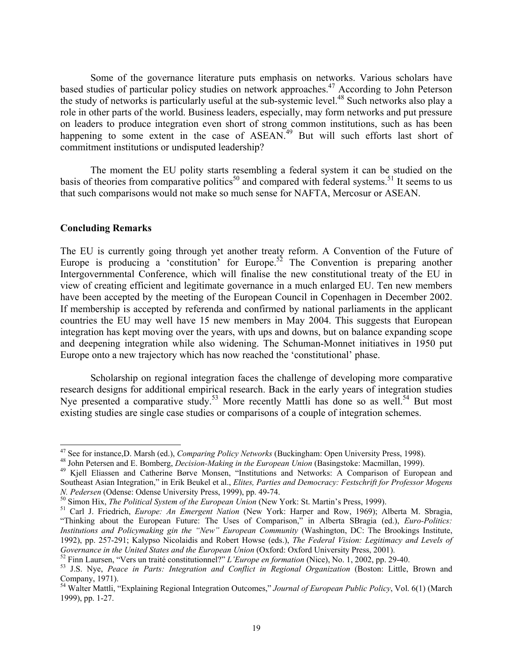Some of the governance literature puts emphasis on networks. Various scholars have based studies of particular policy studies on network approaches.<sup>47</sup> According to John Peterson the study of networks is particularly useful at the sub-systemic level.<sup>48</sup> Such networks also play a role in other parts of the world. Business leaders, especially, may form networks and put pressure on leaders to produce integration even short of strong common institutions, such as has been happening to some extent in the case of ASEAN.<sup>49</sup> But will such efforts last short of commitment institutions or undisputed leadership?

The moment the EU polity starts resembling a federal system it can be studied on the basis of theories from comparative politics<sup>50</sup> and compared with federal systems.<sup>51</sup> It seems to us that such comparisons would not make so much sense for NAFTA, Mercosur or ASEAN.

# **Concluding Remarks**

 $\overline{\phantom{a}}$ 

The EU is currently going through yet another treaty reform. A Convention of the Future of Europe is producing a 'constitution' for Europe.<sup>52</sup> The Convention is preparing another Intergovernmental Conference, which will finalise the new constitutional treaty of the EU in view of creating efficient and legitimate governance in a much enlarged EU. Ten new members have been accepted by the meeting of the European Council in Copenhagen in December 2002. If membership is accepted by referenda and confirmed by national parliaments in the applicant countries the EU may well have 15 new members in May 2004. This suggests that European integration has kept moving over the years, with ups and downs, but on balance expanding scope and deepening integration while also widening. The Schuman-Monnet initiatives in 1950 put Europe onto a new trajectory which has now reached the 'constitutional' phase.

Scholarship on regional integration faces the challenge of developing more comparative research designs for additional empirical research. Back in the early years of integration studies Nye presented a comparative study.<sup>53</sup> More recently Mattli has done so as well.<sup>54</sup> But most existing studies are single case studies or comparisons of a couple of integration schemes.

<sup>&</sup>lt;sup>47</sup> See for instance, D. Marsh (ed.), *Comparing Policy Networks* (Buckingham: Open University Press, 1998).<br><sup>48</sup> John Petersen and E. Bomberg, *Decision-Making in the European Union* (Basingstoke: Macmillan, 1999).<br><sup>49</sup> Southeast Asian Integration," in Erik Beukel et al., *Elites, Parties and Democracy: Festschrift for Professor Mogens N. Pedersen* (Odense: Odense University Press, 1999), pp. 49-74.<br><sup>50</sup> Simon Hix, *The Political System of the European Union* (New York: St. Martin's Press, 1999).<br><sup>51</sup> Carl J. Friedrich, *Europe: An Emergent Nation* (New

<sup>&</sup>quot;Thinking about the European Future: The Uses of Comparison," in Alberta SBragia (ed.), *Euro-Politics: Institutions and Policymaking gin the "New" European Community* (Washington, DC: The Brookings Institute, 1992), pp. 257-291; Kalypso Nicolaidis and Robert Howse (eds.), *The Federal Vision: Legitimacy and Levels of*  Governance in the United States and the European Union (Oxford: Oxford University Press, 2001).<br><sup>52</sup> Finn Laursen, "Vers un traité constitutionnel?" *L'Europe en formation* (Nice), No. 1, 2002, pp. 29-40.<br><sup>53</sup> J.S. Nye, *P* 

Company, 1971).

<sup>54</sup> Walter Mattli, "Explaining Regional Integration Outcomes," *Journal of European Public Policy*, Vol. 6(1) (March 1999), pp. 1-27.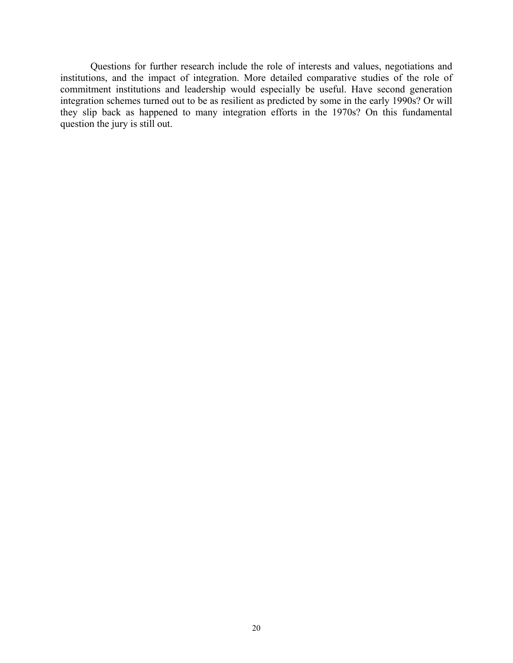Questions for further research include the role of interests and values, negotiations and institutions, and the impact of integration. More detailed comparative studies of the role of commitment institutions and leadership would especially be useful. Have second generation integration schemes turned out to be as resilient as predicted by some in the early 1990s? Or will they slip back as happened to many integration efforts in the 1970s? On this fundamental question the jury is still out.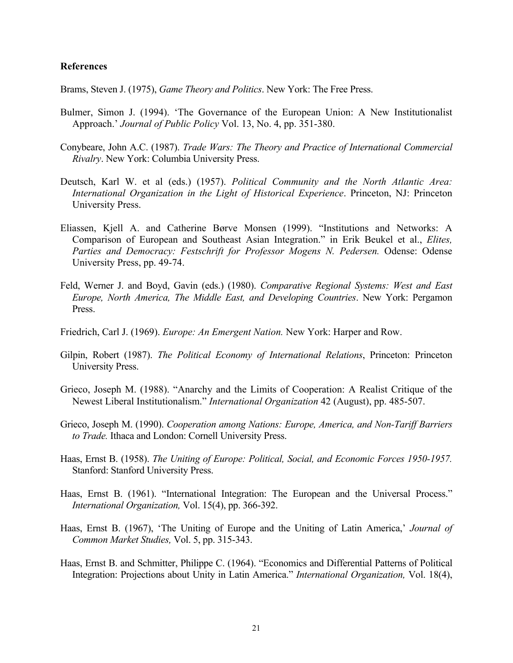#### **References**

Brams, Steven J. (1975), *Game Theory and Politics*. New York: The Free Press.

- Bulmer, Simon J. (1994). 'The Governance of the European Union: A New Institutionalist Approach.' *Journal of Public Policy* Vol. 13, No. 4, pp. 351-380.
- Conybeare, John A.C. (1987). *Trade Wars: The Theory and Practice of International Commercial Rivalry*. New York: Columbia University Press.
- Deutsch, Karl W. et al (eds.) (1957). *Political Community and the North Atlantic Area: International Organization in the Light of Historical Experience*. Princeton, NJ: Princeton University Press.
- Eliassen, Kjell A. and Catherine Børve Monsen (1999). "Institutions and Networks: A Comparison of European and Southeast Asian Integration." in Erik Beukel et al., *Elites, Parties and Democracy: Festschrift for Professor Mogens N. Pedersen.* Odense: Odense University Press, pp. 49-74.
- Feld, Werner J. and Boyd, Gavin (eds.) (1980). *Comparative Regional Systems: West and East Europe, North America, The Middle East, and Developing Countries*. New York: Pergamon Press.
- Friedrich, Carl J. (1969). *Europe: An Emergent Nation.* New York: Harper and Row.
- Gilpin, Robert (1987). *The Political Economy of International Relations*, Princeton: Princeton University Press.
- Grieco, Joseph M. (1988). "Anarchy and the Limits of Cooperation: A Realist Critique of the Newest Liberal Institutionalism." *International Organization* 42 (August), pp. 485-507.
- Grieco, Joseph M. (1990). *Cooperation among Nations: Europe, America, and Non-Tariff Barriers to Trade.* Ithaca and London: Cornell University Press.
- Haas, Ernst B. (1958). *The Uniting of Europe: Political, Social, and Economic Forces 1950-1957.* Stanford: Stanford University Press.
- Haas, Ernst B. (1961). "International Integration: The European and the Universal Process." *International Organization,* Vol. 15(4), pp. 366-392.
- Haas, Ernst B. (1967), 'The Uniting of Europe and the Uniting of Latin America,' *Journal of Common Market Studies,* Vol. 5, pp. 315-343.
- Haas, Ernst B. and Schmitter, Philippe C. (1964). "Economics and Differential Patterns of Political Integration: Projections about Unity in Latin America." *International Organization,* Vol. 18(4),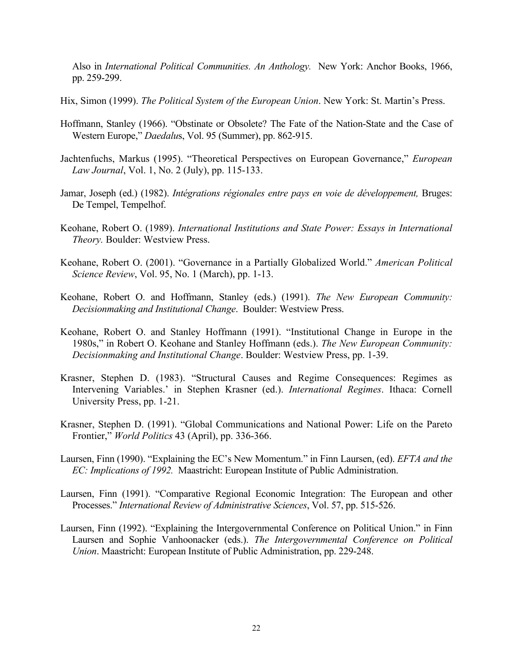Also in *International Political Communities. An Anthology.* New York: Anchor Books, 1966, pp. 259-299.

Hix, Simon (1999). *The Political System of the European Union*. New York: St. Martin's Press.

- Hoffmann, Stanley (1966). "Obstinate or Obsolete? The Fate of the Nation-State and the Case of Western Europe," *Daedalu*s, Vol. 95 (Summer), pp. 862-915.
- Jachtenfuchs, Markus (1995). "Theoretical Perspectives on European Governance," *European Law Journal*, Vol. 1, No. 2 (July), pp. 115-133.
- Jamar, Joseph (ed.) (1982). *Intégrations régionales entre pays en voie de développement,* Bruges: De Tempel, Tempelhof.
- Keohane, Robert O. (1989). *International Institutions and State Power: Essays in International Theory.* Boulder: Westview Press.
- Keohane, Robert O. (2001). "Governance in a Partially Globalized World." *American Political Science Review*, Vol. 95, No. 1 (March), pp. 1-13.
- Keohane, Robert O. and Hoffmann, Stanley (eds.) (1991). *The New European Community: Decisionmaking and Institutional Change*. Boulder: Westview Press.
- Keohane, Robert O. and Stanley Hoffmann (1991). "Institutional Change in Europe in the 1980s," in Robert O. Keohane and Stanley Hoffmann (eds.). *The New European Community: Decisionmaking and Institutional Change*. Boulder: Westview Press, pp. 1-39.
- Krasner, Stephen D. (1983). "Structural Causes and Regime Consequences: Regimes as Intervening Variables.' in Stephen Krasner (ed.). *International Regimes*. Ithaca: Cornell University Press, pp. 1-21.
- Krasner, Stephen D. (1991). "Global Communications and National Power: Life on the Pareto Frontier," *World Politics* 43 (April), pp. 336-366.
- Laursen, Finn (1990). "Explaining the EC's New Momentum." in Finn Laursen, (ed). *EFTA and the EC: Implications of 1992.* Maastricht: European Institute of Public Administration.
- Laursen, Finn (1991). "Comparative Regional Economic Integration: The European and other Processes." *International Review of Administrative Sciences*, Vol. 57, pp. 515-526.
- Laursen, Finn (1992). "Explaining the Intergovernmental Conference on Political Union." in Finn Laursen and Sophie Vanhoonacker (eds.). *The Intergovernmental Conference on Political Union*. Maastricht: European Institute of Public Administration, pp. 229-248.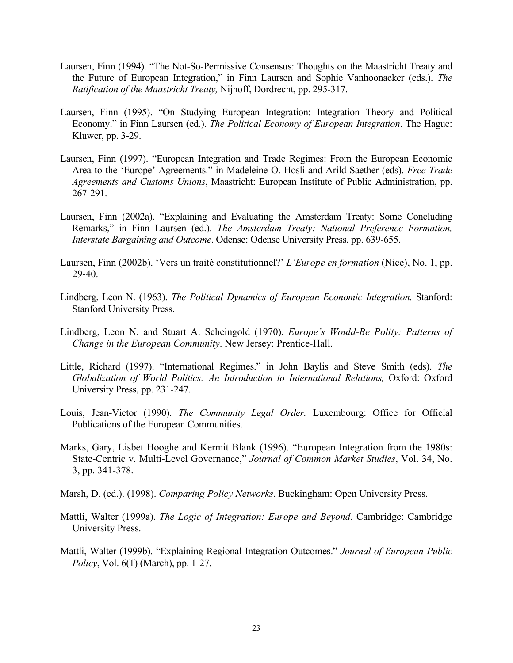- Laursen, Finn (1994). "The Not-So-Permissive Consensus: Thoughts on the Maastricht Treaty and the Future of European Integration," in Finn Laursen and Sophie Vanhoonacker (eds.). *The Ratification of the Maastricht Treaty,* Nijhoff, Dordrecht, pp. 295-317.
- Laursen, Finn (1995). "On Studying European Integration: Integration Theory and Political Economy." in Finn Laursen (ed.). *The Political Economy of European Integration*. The Hague: Kluwer, pp. 3-29.
- Laursen, Finn (1997). "European Integration and Trade Regimes: From the European Economic Area to the 'Europe' Agreements." in Madeleine O. Hosli and Arild Saether (eds). *Free Trade Agreements and Customs Unions*, Maastricht: European Institute of Public Administration, pp. 267-291.
- Laursen, Finn (2002a). "Explaining and Evaluating the Amsterdam Treaty: Some Concluding Remarks," in Finn Laursen (ed.). *The Amsterdam Treaty: National Preference Formation, Interstate Bargaining and Outcome*. Odense: Odense University Press, pp. 639-655.
- Laursen, Finn (2002b). 'Vers un traité constitutionnel?' *L'Europe en formation* (Nice), No. 1, pp. 29-40.
- Lindberg, Leon N. (1963). *The Political Dynamics of European Economic Integration.* Stanford: Stanford University Press.
- Lindberg, Leon N. and Stuart A. Scheingold (1970). *Europe's Would-Be Polity: Patterns of Change in the European Community*. New Jersey: Prentice-Hall.
- Little, Richard (1997). "International Regimes." in John Baylis and Steve Smith (eds). *The*  Globalization of World Politics: An Introduction to International Relations, Oxford: Oxford University Press, pp. 231-247.
- Louis, Jean-Victor (1990). *The Community Legal Order*. Luxembourg: Office for Official Publications of the European Communities.
- Marks, Gary, Lisbet Hooghe and Kermit Blank (1996). "European Integration from the 1980s: State-Centric v. Multi-Level Governance," *Journal of Common Market Studies*, Vol. 34, No. 3, pp. 341-378.
- Marsh, D. (ed.). (1998). *Comparing Policy Networks*. Buckingham: Open University Press.
- Mattli, Walter (1999a). *The Logic of Integration: Europe and Beyond*. Cambridge: Cambridge University Press.
- Mattli, Walter (1999b). "Explaining Regional Integration Outcomes." *Journal of European Public Policy*, Vol. 6(1) (March), pp. 1-27.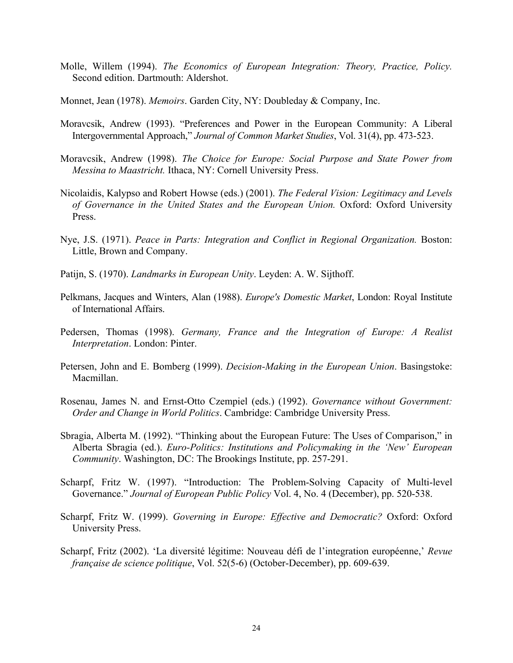- Molle, Willem (1994). *The Economics of European Integration: Theory, Practice, Policy.*  Second edition. Dartmouth: Aldershot.
- Monnet, Jean (1978). *Memoirs*. Garden City, NY: Doubleday & Company, Inc.
- Moravcsik, Andrew (1993). "Preferences and Power in the European Community: A Liberal Intergovernmental Approach," *Journal of Common Market Studies*, Vol. 31(4), pp. 473-523.
- Moravcsik, Andrew (1998). *The Choice for Europe: Social Purpose and State Power from Messina to Maastricht.* Ithaca, NY: Cornell University Press.
- Nicolaidis, Kalypso and Robert Howse (eds.) (2001). *The Federal Vision: Legitimacy and Levels of Governance in the United States and the European Union.* Oxford: Oxford University Press.
- Nye, J.S. (1971). *Peace in Parts: Integration and Conflict in Regional Organization.* Boston: Little, Brown and Company.
- Patijn, S. (1970). *Landmarks in European Unity*. Leyden: A. W. Sijthoff.
- Pelkmans, Jacques and Winters, Alan (1988). *Europe's Domestic Market*, London: Royal Institute of International Affairs.
- Pedersen, Thomas (1998). *Germany, France and the Integration of Europe: A Realist Interpretation*. London: Pinter.
- Petersen, John and E. Bomberg (1999). *Decision-Making in the European Union*. Basingstoke: Macmillan.
- Rosenau, James N. and Ernst-Otto Czempiel (eds.) (1992). *Governance without Government: Order and Change in World Politics*. Cambridge: Cambridge University Press.
- Sbragia, Alberta M. (1992). "Thinking about the European Future: The Uses of Comparison," in Alberta Sbragia (ed.). *Euro-Politics: Institutions and Policymaking in the 'New' European Community*. Washington, DC: The Brookings Institute, pp. 257-291.
- Scharpf, Fritz W. (1997). "Introduction: The Problem-Solving Capacity of Multi-level Governance." *Journal of European Public Policy* Vol. 4, No. 4 (December), pp. 520-538.
- Scharpf, Fritz W. (1999). *Governing in Europe: Effective and Democratic?* Oxford: Oxford University Press.
- Scharpf, Fritz (2002). 'La diversité légitime: Nouveau défi de l'integration européenne,' *Revue française de science politique*, Vol. 52(5-6) (October-December), pp. 609-639.